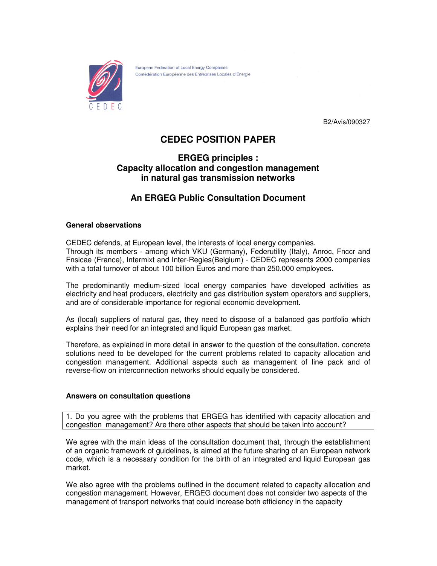

European Federation of Local Energy Companies Confédération Européenne des Entreprises Locales d'Energie

B2/Avis/090327

# **CEDEC POSITION PAPER**

### **ERGEG principles : Capacity allocation and congestion management in natural gas transmission networks**

## **An ERGEG Public Consultation Document**

#### **General observations**

CEDEC defends, at European level, the interests of local energy companies. Through its members - among which VKU (Germany), Federutility (Italy), Anroc, Fnccr and Fnsicae (France), Intermixt and Inter-Regies(Belgium) - CEDEC represents 2000 companies with a total turnover of about 100 billion Euros and more than 250.000 employees.

The predominantly medium-sized local energy companies have developed activities as electricity and heat producers, electricity and gas distribution system operators and suppliers, and are of considerable importance for regional economic development.

As (local) suppliers of natural gas, they need to dispose of a balanced gas portfolio which explains their need for an integrated and liquid European gas market.

Therefore, as explained in more detail in answer to the question of the consultation, concrete solutions need to be developed for the current problems related to capacity allocation and congestion management. Additional aspects such as management of line pack and of reverse-flow on interconnection networks should equally be considered.

#### **Answers on consultation questions**

1. Do you agree with the problems that ERGEG has identified with capacity allocation and congestion management? Are there other aspects that should be taken into account?

We agree with the main ideas of the consultation document that, through the establishment of an organic framework of guidelines, is aimed at the future sharing of an European network code, which is a necessary condition for the birth of an integrated and liquid European gas market.

We also agree with the problems outlined in the document related to capacity allocation and congestion management. However, ERGEG document does not consider two aspects of the management of transport networks that could increase both efficiency in the capacity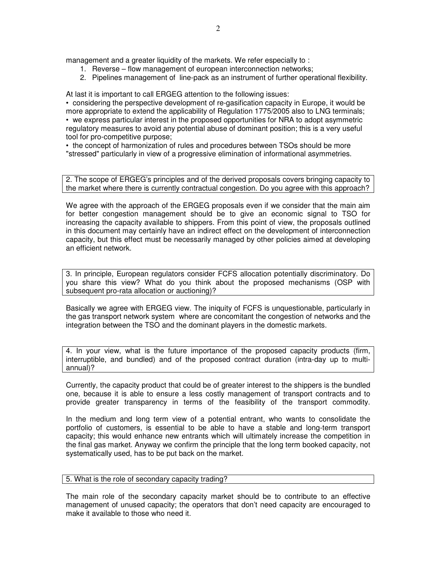management and a greater liquidity of the markets. We refer especially to:

- 1. Reverse flow management of european interconnection networks;
- 2. Pipelines management of line-pack as an instrument of further operational flexibility.

At last it is important to call ERGEG attention to the following issues:

• considering the perspective development of re-gasification capacity in Europe, it would be more appropriate to extend the applicability of Regulation 1775/2005 also to LNG terminals; • we express particular interest in the proposed opportunities for NRA to adopt asymmetric regulatory measures to avoid any potential abuse of dominant position; this is a very useful tool for pro-competitive purpose;

• the concept of harmonization of rules and procedures between TSOs should be more "stressed" particularly in view of a progressive elimination of informational asymmetries.

2. The scope of ERGEG's principles and of the derived proposals covers bringing capacity to the market where there is currently contractual congestion. Do you agree with this approach?

We agree with the approach of the ERGEG proposals even if we consider that the main aim for better congestion management should be to give an economic signal to TSO for increasing the capacity available to shippers. From this point of view, the proposals outlined in this document may certainly have an indirect effect on the development of interconnection capacity, but this effect must be necessarily managed by other policies aimed at developing an efficient network.

3. In principle, European regulators consider FCFS allocation potentially discriminatory. Do you share this view? What do you think about the proposed mechanisms (OSP with subsequent pro-rata allocation or auctioning)?

Basically we agree with ERGEG view. The iniquity of FCFS is unquestionable, particularly in the gas transport network system where are concomitant the congestion of networks and the integration between the TSO and the dominant players in the domestic markets.

4. In your view, what is the future importance of the proposed capacity products (firm, interruptible, and bundled) and of the proposed contract duration (intra-day up to multiannual)?

Currently, the capacity product that could be of greater interest to the shippers is the bundled one, because it is able to ensure a less costly management of transport contracts and to provide greater transparency in terms of the feasibility of the transport commodity.

In the medium and long term view of a potential entrant, who wants to consolidate the portfolio of customers, is essential to be able to have a stable and long-term transport capacity; this would enhance new entrants which will ultimately increase the competition in the final gas market. Anyway we confirm the principle that the long term booked capacity, not systematically used, has to be put back on the market.

#### 5. What is the role of secondary capacity trading?

The main role of the secondary capacity market should be to contribute to an effective management of unused capacity; the operators that don't need capacity are encouraged to make it available to those who need it.